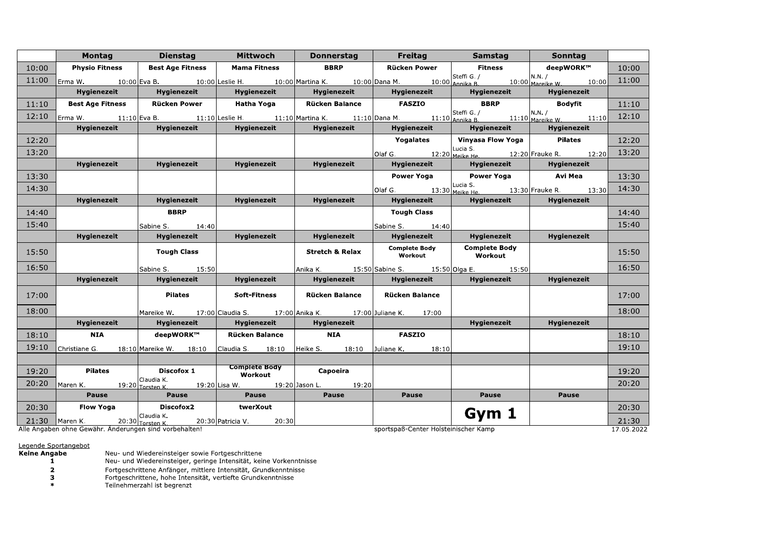|       |                                                                                                                                  | Montag Dienstag                          | <b>Example 2016 Mittwoch</b>                                      | Donnerstag  <br><b>Contract</b> | <b>Freitag</b>                           | <b>Samstag</b>                               | Sonntag                                             |                     |
|-------|----------------------------------------------------------------------------------------------------------------------------------|------------------------------------------|-------------------------------------------------------------------|---------------------------------|------------------------------------------|----------------------------------------------|-----------------------------------------------------|---------------------|
| 10:00 |                                                                                                                                  | <b>Physio Fitness   Best Age Fitness</b> | Mama Fitness<br>$\sim 100$                                        | <b>BBRP</b>                     | Rücken Power                             | $\overline{\phantom{1}}$ Fitness             | deepWORK™                                           | 10:00               |
| 11:00 | Erma W. $10:00$ Eva B. $10:00$ Leslie H. $10:00$ Martina K. $10:00$ Dana M. $10:00$ Annika B. $10:00$ Marcike W. $10:00$ $11:00$ |                                          |                                                                   |                                 |                                          |                                              |                                                     |                     |
|       |                                                                                                                                  | Hygienezeit Hygienezeit                  | <b>Hygienezeit</b>                                                | <b>Hygienezeit</b>              | <b>Hygienezeit</b>                       | <b>Hygienezeit</b>                           | <b>Hygienezeit</b>                                  |                     |
| 11:10 |                                                                                                                                  | Best Age Fitness   Rücken Power          | <b>Hatha Yoga</b>                                                 | Rücken Balance                  | <b>FASZIO</b>                            | <b>BBRP</b>                                  | Bodvfit                                             | 11:10               |
| 12:10 | Erma W. 11:10 Eva B. 11:10 Leslie H. 11:10 Martina K. 11:10 Dana M. 11:10 Annika B. 11:10 Marcike W. 11:10 12:10                 |                                          |                                                                   |                                 |                                          |                                              |                                                     |                     |
|       | Hygienezeit                                                                                                                      | $\parallel$ Hygienezeit                  | Hygienezeit                                                       | <b>Example 13 Hygienezeit</b>   | Hygienezeit                              | <b>Hygienezeit</b>                           | Hygienezeit                                         |                     |
| 12:20 |                                                                                                                                  |                                          |                                                                   |                                 | Yogalates                                | Vinyasa Flow Yoga   Pilates                  |                                                     | 12:20               |
| 13:20 |                                                                                                                                  |                                          |                                                                   |                                 |                                          |                                              | Olaf G. 12:20 Meike He. 12:20 Frauke R. 12:20 13:20 |                     |
|       | Hygienezeit                                                                                                                      | <b>Hygienezeit</b>                       | <b>Hygienezeit</b>                                                | <b>Hygienezeit</b>              | Hygienezeit                              | Hygienezeit                                  | <b>Hygienezeit</b>                                  |                     |
| 13:30 |                                                                                                                                  |                                          |                                                                   |                                 | Power Yoga                               | Power Yoga                                   | Avi Mea                                             | 13:30               |
| 14:30 |                                                                                                                                  |                                          |                                                                   |                                 |                                          |                                              | Olaf G. 13:30 Meike He. 13:30 Frauke R. 13:30 14:30 |                     |
|       | Hygienezeit                                                                                                                      | Hygienezeit                              | Hygienezeit                                                       | Hygienezeit                     | Hygienezeit                              | Hygienezeit                                  | Hygienezeit                                         |                     |
| 14:40 |                                                                                                                                  | <b>BBRP</b>                              |                                                                   |                                 | <b>Tough Class</b>                       |                                              |                                                     | 14:40               |
| 15:40 |                                                                                                                                  | Sabine S. 14:40                          |                                                                   |                                 | Sabine S. 14:40                          |                                              |                                                     | 15:40               |
|       | <b>Hygienezeit</b>                                                                                                               | Hygienezeit                              | Hygienezeit                                                       | Hygienezeit                     | Hygienezeit                              | Hygienezeit                                  | Hygienezeit                                         |                     |
| 15:50 |                                                                                                                                  | <b>Tough Class</b>                       |                                                                   | Stretch & Relax                 | Complete Body   Complete Body<br>Workout | Workout                                      |                                                     | 15:50               |
| 16:50 |                                                                                                                                  | Sabine S. 15:50                          |                                                                   |                                 |                                          | Anika K. 15:50 Sabine S. 15:50 Olga E. 15:50 |                                                     | 16:50               |
|       | <b>Hygienezeit</b>                                                                                                               | <b>Hygienezeit</b>                       | <b>Hygienezeit</b>                                                | Hygienezeit                     | Hygienezeit                              | <b>Hygienezeit</b>                           | <b>Hygienezeit</b>                                  |                     |
| 17:00 |                                                                                                                                  | Pilates                                  | Soft-Fitness                                                      | Rücken Balance                  | <b>Rücken Balance</b>                    |                                              |                                                     | 17:00               |
| 18:00 |                                                                                                                                  |                                          | Mareike W. 17:00 Claudia S. 17:00 Anika K. 17:00 Juliane K. 17:00 |                                 |                                          |                                              |                                                     | 18:00               |
|       | <b>Hygienezeit</b>                                                                                                               | <b>Hygienezeit</b>                       | Hygienezeit Hygienezeit                                           |                                 |                                          | Hygienezeit                                  | <b>Hygienezeit</b>                                  |                     |
| 18:10 | <b>NIA</b>                                                                                                                       | $\blacksquare$ deepWORK™                 | Rücken Balance                                                    | <b>NIA</b>                      | <b>FASZIO</b>                            |                                              |                                                     | 18:10               |
| 19:10 | Christiane G. 18:10 Mareike W. 18:10                                                                                             |                                          | Claudia S. 18:10 Heike S. 18:10 Juliane K. 18:10                  |                                 |                                          |                                              |                                                     | 19:10               |
|       |                                                                                                                                  |                                          |                                                                   |                                 |                                          |                                              |                                                     |                     |
| 19:20 | Pilates                                                                                                                          | Discofox 1                               | Complete Body<br>Workout                                          | Capoeira                        |                                          |                                              |                                                     | 19:20               |
| 20:20 | Maren K. 19:20 Torsten K. 19:20 Lisa W. 19:20 Jason L. 19:20                                                                     |                                          |                                                                   |                                 |                                          |                                              |                                                     | 20:20               |
|       | <b>Pause</b>                                                                                                                     | <b>Pause</b>                             | <b>Pause</b>                                                      | <b>Pause</b>                    | Pause                                    | Pause                                        | <b>Pause</b>                                        |                     |
| 20:30 | Flow Yoga                                                                                                                        | $ $ Discofox2                            | <b>twerXout</b>                                                   |                                 |                                          | Gym 1                                        |                                                     | 20:30               |
|       | $21:30$ Maren K. 20:30 $\frac{20:30}{\text{Total}}$ External K. 20:30 Patricia V. 20:30                                          | Claudia K.                               |                                                                   |                                 | cportcpaß-Contor Holctoinischer Kamp     |                                              |                                                     | 21:30<br>17.05.2022 |

Alle Angaben ohne Gewähr. Anderungen sind vorbehalten!

sportspaß-Center Holsteinischer Kamp

17.05.2022

## Legende Sportangebot<br>Keine Angabe

Neu- und Wiedereinsteiger sowie Fortgeschrittene<br>Neu- und Wiedereinsteiger, geringe Intensität, keine Vorkenntnisse  $\bar{1}$ 

Fortgeschrittene Anfänger, mittlere Intensität, Grundkenntnisse<br>Fortgeschrittene, hohe Intensität, vertiefte Grundkenntnisse<br>Teilnehmerzahl ist begrenzt  $\overline{\mathbf{2}}$ 

 $\overline{\mathbf{3}}$ 

 $\ast$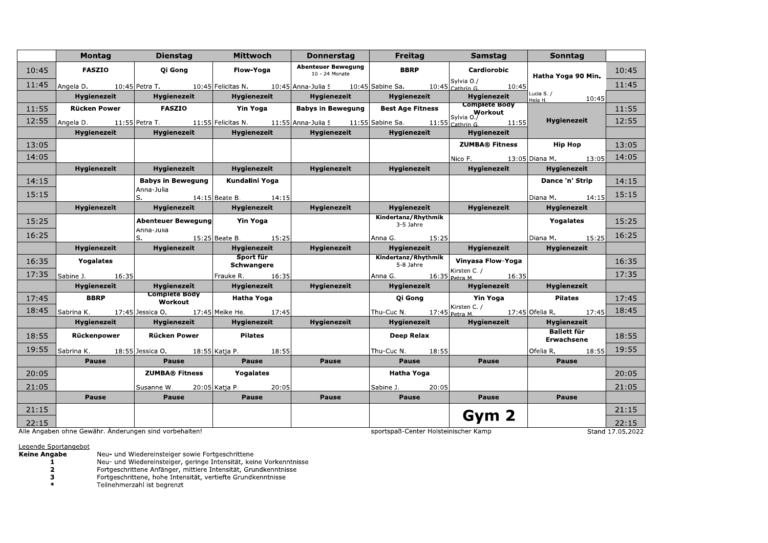| Montag             | <b>Dienstag</b>    | Mittwoch                                       | <b>Donnerstag</b>                                                                                           | <b>Freitag</b>                                                                                                                                                                           | <b>Samstag</b>                                     | <b>Sonntag</b>                                                                                         |                                                                                                                                                                                                                                                                                                                                                                                                                                                                                                                                                                                                                                                                                                |
|--------------------|--------------------|------------------------------------------------|-------------------------------------------------------------------------------------------------------------|------------------------------------------------------------------------------------------------------------------------------------------------------------------------------------------|----------------------------------------------------|--------------------------------------------------------------------------------------------------------|------------------------------------------------------------------------------------------------------------------------------------------------------------------------------------------------------------------------------------------------------------------------------------------------------------------------------------------------------------------------------------------------------------------------------------------------------------------------------------------------------------------------------------------------------------------------------------------------------------------------------------------------------------------------------------------------|
| <b>FASZIO</b>      | Qi Gong            | Flow-Yoga                                      | <b>Abenteuer Bewegung</b><br>10 - 24 Monate                                                                 | <b>BBRP</b>                                                                                                                                                                              | Cardiorobic                                        |                                                                                                        | 10:45                                                                                                                                                                                                                                                                                                                                                                                                                                                                                                                                                                                                                                                                                          |
|                    |                    |                                                |                                                                                                             |                                                                                                                                                                                          |                                                    |                                                                                                        | 11:45                                                                                                                                                                                                                                                                                                                                                                                                                                                                                                                                                                                                                                                                                          |
| Hygienezeit        | Hygienezeit        | Hygienezeit                                    | <b>Hygienezeit</b>                                                                                          | <b>Hygienezeit</b>                                                                                                                                                                       | <b>Hygienezeit</b>                                 | Lucia S. /                                                                                             |                                                                                                                                                                                                                                                                                                                                                                                                                                                                                                                                                                                                                                                                                                |
| Rücken Power       | <b>FASZIO</b>      | Yin Yoga                                       |                                                                                                             | Best Age Fitness                                                                                                                                                                         |                                                    |                                                                                                        | 11:55                                                                                                                                                                                                                                                                                                                                                                                                                                                                                                                                                                                                                                                                                          |
|                    |                    |                                                |                                                                                                             |                                                                                                                                                                                          |                                                    | Hygienezeit                                                                                            | 12:55                                                                                                                                                                                                                                                                                                                                                                                                                                                                                                                                                                                                                                                                                          |
| <b>Hygienezeit</b> | <b>Hygienezeit</b> | <b>Hygienezeit</b>                             | <b>Hygienezeit</b>                                                                                          | <b>Hygienezeit</b>                                                                                                                                                                       | <b>Hygienezeit</b>                                 |                                                                                                        |                                                                                                                                                                                                                                                                                                                                                                                                                                                                                                                                                                                                                                                                                                |
|                    |                    |                                                |                                                                                                             |                                                                                                                                                                                          | ZUMBA® Fitness                                     | Hip Hop                                                                                                | 13:05                                                                                                                                                                                                                                                                                                                                                                                                                                                                                                                                                                                                                                                                                          |
|                    |                    |                                                |                                                                                                             |                                                                                                                                                                                          | Nico F.                                            |                                                                                                        | $13:05$ 14:05                                                                                                                                                                                                                                                                                                                                                                                                                                                                                                                                                                                                                                                                                  |
| Hygienezeit        | Hygienezeit        | Hygienezeit                                    | Hygienezeit                                                                                                 | Hygienezeit                                                                                                                                                                              | Hygienezeit                                        | Hygienezeit                                                                                            |                                                                                                                                                                                                                                                                                                                                                                                                                                                                                                                                                                                                                                                                                                |
|                    |                    | Kundalini Yoga                                 |                                                                                                             |                                                                                                                                                                                          |                                                    | Dance 'n' Strip                                                                                        | 14:15                                                                                                                                                                                                                                                                                                                                                                                                                                                                                                                                                                                                                                                                                          |
|                    | S.                 |                                                |                                                                                                             |                                                                                                                                                                                          |                                                    |                                                                                                        | 15:15                                                                                                                                                                                                                                                                                                                                                                                                                                                                                                                                                                                                                                                                                          |
| Hygienezeit        | Hygienezeit        | <b>Hygienezeit</b>                             | Hygienezeit                                                                                                 | Hygienezeit                                                                                                                                                                              | Hygienezeit                                        | Hygienezeit                                                                                            |                                                                                                                                                                                                                                                                                                                                                                                                                                                                                                                                                                                                                                                                                                |
|                    |                    |                                                |                                                                                                             | Kindertanz/Rhythmik                                                                                                                                                                      |                                                    | Yogalates                                                                                              | 15:25                                                                                                                                                                                                                                                                                                                                                                                                                                                                                                                                                                                                                                                                                          |
|                    | Anna-Julia         |                                                |                                                                                                             |                                                                                                                                                                                          |                                                    |                                                                                                        | 16:25                                                                                                                                                                                                                                                                                                                                                                                                                                                                                                                                                                                                                                                                                          |
| Hygienezeit        | <b>Hygienezeit</b> | Hygienezeit                                    | Hygienezeit                                                                                                 | Hygienezeit                                                                                                                                                                              | Hygienezeit                                        | <b>Hygienezeit</b>                                                                                     |                                                                                                                                                                                                                                                                                                                                                                                                                                                                                                                                                                                                                                                                                                |
| Yogalates          |                    | Sport für                                      |                                                                                                             | Kindertanz/Rhythmik                                                                                                                                                                      | Vinyasa Flow-Yoga                                  |                                                                                                        | 16:35                                                                                                                                                                                                                                                                                                                                                                                                                                                                                                                                                                                                                                                                                          |
|                    |                    |                                                |                                                                                                             |                                                                                                                                                                                          | Kirsten C. /                                       |                                                                                                        | 17:35                                                                                                                                                                                                                                                                                                                                                                                                                                                                                                                                                                                                                                                                                          |
| <b>Hygienezeit</b> | Hygienezeit        | Hygienezeit                                    | Hygienezeit                                                                                                 | Hygienezeit                                                                                                                                                                              | <b>Hygienezeit</b>                                 | Hygienezeit                                                                                            |                                                                                                                                                                                                                                                                                                                                                                                                                                                                                                                                                                                                                                                                                                |
| <b>BBRP</b>        | Workout            | Hatha Yoga                                     |                                                                                                             | Qi Gong                                                                                                                                                                                  | Yin Yoga                                           | <b>Pilates</b>                                                                                         | 17:45                                                                                                                                                                                                                                                                                                                                                                                                                                                                                                                                                                                                                                                                                          |
|                    |                    |                                                |                                                                                                             |                                                                                                                                                                                          |                                                    |                                                                                                        |                                                                                                                                                                                                                                                                                                                                                                                                                                                                                                                                                                                                                                                                                                |
| <b>Hygienezeit</b> | Hygienezeit        | <b>Hygienezeit</b>                             | Hygienezeit                                                                                                 | Hygienezeit                                                                                                                                                                              | <b>Hygienezeit</b>                                 | <b>Hygienezeit</b>                                                                                     |                                                                                                                                                                                                                                                                                                                                                                                                                                                                                                                                                                                                                                                                                                |
| Rückenpower        | Rücken Power       | <b>Pilates</b>                                 |                                                                                                             | Deep Relax                                                                                                                                                                               |                                                    | Erwachsene                                                                                             | 18:55                                                                                                                                                                                                                                                                                                                                                                                                                                                                                                                                                                                                                                                                                          |
|                    |                    |                                                |                                                                                                             |                                                                                                                                                                                          |                                                    | Ofelia R.                                                                                              | 18:55 19:55                                                                                                                                                                                                                                                                                                                                                                                                                                                                                                                                                                                                                                                                                    |
| Pause              | Pause              | <b>Pause</b>                                   | Pause                                                                                                       | Pause                                                                                                                                                                                    | Pause                                              | Pause                                                                                                  |                                                                                                                                                                                                                                                                                                                                                                                                                                                                                                                                                                                                                                                                                                |
|                    |                    | Yogalates                                      |                                                                                                             | Hatha Yoga                                                                                                                                                                               |                                                    |                                                                                                        | 20:05                                                                                                                                                                                                                                                                                                                                                                                                                                                                                                                                                                                                                                                                                          |
|                    | Susanne W.         |                                                |                                                                                                             | Sabine J.                                                                                                                                                                                |                                                    |                                                                                                        | 21:05                                                                                                                                                                                                                                                                                                                                                                                                                                                                                                                                                                                                                                                                                          |
| Pause              | <b>Pause</b>       | Pause                                          | Pause                                                                                                       | Pause                                                                                                                                                                                    | Pause                                              | Pause                                                                                                  |                                                                                                                                                                                                                                                                                                                                                                                                                                                                                                                                                                                                                                                                                                |
|                    |                    |                                                |                                                                                                             |                                                                                                                                                                                          |                                                    |                                                                                                        | 21:15                                                                                                                                                                                                                                                                                                                                                                                                                                                                                                                                                                                                                                                                                          |
|                    |                    |                                                |                                                                                                             |                                                                                                                                                                                          |                                                    |                                                                                                        | 22:15                                                                                                                                                                                                                                                                                                                                                                                                                                                                                                                                                                                                                                                                                          |
|                    |                    | Anna-Julia<br>Sabine J. 16:35<br>Complete Body | <b>Babys in Bewegung</b><br>Abenteuer Bewegung   Yin Yoga<br>Schwangere<br>ZUMBA® Fitness<br>20:05 Katja P. | $14:15$ Beate B. $14:15$<br>S. 15:25 Beate B. 15:25<br>Frauke R. 16:35<br>Sabrina K. 17:45 Jessica O. 17:45 Meike He. 17:45<br>Sabrina K. 18:55 Jessica O. 18:55 Katja P. 18:55<br>20:05 | <b>Babys in Bewegung</b><br>3-5 Jahre<br>5-8 Jahre | <b>Complete Body</b><br>Anna G. 15:25<br>Kirsten C. /<br>Thu-Cuc N. 18:55<br>20:05<br>Gym <sub>2</sub> | Hatha Yoga 90 Min.<br>Angela D. 10:45 Petra T. 10:45 Felicitas N. 10:45 Anna-Julia S 10:45 Sabine Sa. 10:45 Sylvia 0./<br>$He$ la H. $10:45$<br>$\begin{array}{ l l l }\hline \text{Angle 0.} & 11:55 \text{ Petra T.} & 11:55 \text{ Felicitas N.} & 11:55 \text{ Anna-Julia S.} & 11:55 \text{ Sabine Sa.} & 11:55 \text{Cathrin G.} & 11:55 \text{ N.} & 11:55 \text{ N.} & 11:55 \text{ N.} & 11:55 \text{ N.} & 11:55 \text{ N.} & 11:55 \text{ N.} & 11:55 \text{ N.} & 11:55 \text{ N.} & 11:55 \text{$<br>13:05 Diana M.<br>Diana M. 14:15<br>Diana M. 15:25<br>Anna G. $16:35 _{\text{Petra M}}$ 16:35<br>Thu-Cuc N. 17:45 Petra M. 17:45 Ofelia R. 17:45 18:45<br><b>Ballett für</b> |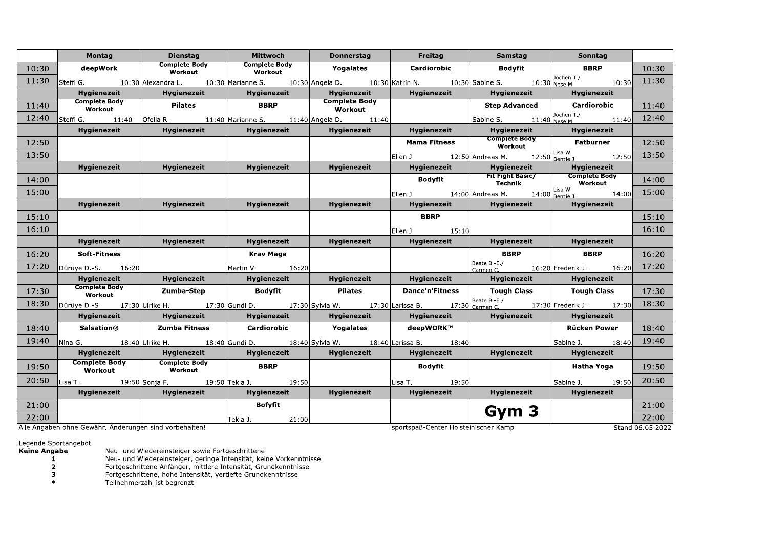|       | Montag                                                 | <b>Dienstag</b>                                                                                                                                       | Mittwoch                        | <b>Donnerstag</b>        | Freitag                              | Samstag                                                                                                                             | Sonntag                                                     |                  |
|-------|--------------------------------------------------------|-------------------------------------------------------------------------------------------------------------------------------------------------------|---------------------------------|--------------------------|--------------------------------------|-------------------------------------------------------------------------------------------------------------------------------------|-------------------------------------------------------------|------------------|
| 10:30 | deepWork                                               | <b>Complete Body</b><br>Workout                                                                                                                       | <b>Complete Body</b><br>Workout | Yogalates                | Cardiorobic                          | Bodyfit                                                                                                                             | <b>BBRP</b>                                                 | 10:30            |
| 11:30 |                                                        | Steffi G. $10:30$ Alexandra L. $10:30$ Marianne S. $10:30$ Angela D. $10:30$ Katrin N. $10:30$ Sabine S. $10:30$ Nese M.                              |                                 |                          |                                      |                                                                                                                                     |                                                             | 10:30 11:30      |
|       | <b>Hygienezeit</b>                                     | Hygienezeit                                                                                                                                           | Hygienezeit                     | <b>Hygienezeit</b>       | <b>Hygienezeit</b>                   | <b>Hygienezeit</b>                                                                                                                  | <b>Hygienezeit</b>                                          |                  |
| 11:40 | <b>Complete Body</b><br>Workout                        | <b>Pilates</b>                                                                                                                                        | <b>BBRP</b>                     | Complete Body<br>Workout |                                      | <b>Step Advanced</b>                                                                                                                | Cardiorobic                                                 | 11:40            |
| 12:40 |                                                        | Steffi G. 11:40   Ofelia R. 11:40   Marianne S. 11:40   Angela D. 11:40                                                                               |                                 |                          |                                      |                                                                                                                                     | Sabine S. 11:40 Dochen T./ 11:40 12:40                      |                  |
|       | <b>Hygienezeit</b>                                     | <b>Hygienezeit</b>                                                                                                                                    | Hygienezeit                     | Hygienezeit              | Hygienezeit                          | <b>Hygienezeit</b>                                                                                                                  | Hygienezeit                                                 |                  |
| 12:50 |                                                        |                                                                                                                                                       |                                 |                          | Mama Fitness                         | Complete Body<br>Workout                                                                                                            | <b>Fatburner</b>                                            | 12:50            |
| 13:50 |                                                        |                                                                                                                                                       |                                 |                          |                                      |                                                                                                                                     | Ellen J. 12:50 Andreas M. 12:50 Lisa W. 12:50 13:50         |                  |
|       | <b>Hygienezeit</b>                                     | Hygienezeit                                                                                                                                           | Hygienezeit                     | Hygienezeit              | <b>Hygienezeit</b>                   |                                                                                                                                     |                                                             |                  |
| 14:00 |                                                        |                                                                                                                                                       |                                 |                          |                                      | Bodyfit Fit Fight Basic/ Hygienezeit<br>Bodyfit Fit Fight Basic/ Complete Body<br>Fit Fight Basic/ Complete Body<br>Technik Workout |                                                             | 14:00            |
| 15:00 |                                                        |                                                                                                                                                       |                                 |                          |                                      |                                                                                                                                     | Ellen <u>J. 14:00</u> Andreas M. 14:00 Bentie 1 14:00 15:00 |                  |
|       | <b>Hygienezeit</b>                                     | <b>Hygienezeit</b>                                                                                                                                    | Hygienezeit                     | Hygienezeit              | <b>Example 19 Hygienezeit</b>        | Hygienezeit                                                                                                                         | Hygienezeit                                                 |                  |
| 15:10 |                                                        |                                                                                                                                                       |                                 |                          | <b>BBRP</b>                          |                                                                                                                                     |                                                             | 15:10            |
| 16:10 |                                                        |                                                                                                                                                       |                                 |                          | Ellen J. 15:10                       |                                                                                                                                     |                                                             | 16:10            |
|       | Hygienezeit                                            | Hygienezeit                                                                                                                                           | Hygienezeit                     | Hygienezeit              | <b>Hygienezeit</b>                   | <b>Hygienezeit</b>                                                                                                                  | Hygienezeit                                                 |                  |
| 16:20 | Soft-Fitness                                           |                                                                                                                                                       | Krav Maga                       |                          |                                      | <b>BBRP</b>                                                                                                                         | <b>BBRP</b>                                                 | 16:20            |
| 17:20 | Dürüye D.-S. $16:20$                                   |                                                                                                                                                       | Martin V. 16:20                 |                          |                                      |                                                                                                                                     | Beate B.-E./<br>Carmen C. 16:20 Frederik J. 16:20 17:20     |                  |
|       | Hygienezeit                                            | <b>Hygienezeit</b>                                                                                                                                    | Hygienezeit                     | <b>Hygienezeit</b>       | <b>Hygienezeit</b>                   | Hygienezeit                                                                                                                         | Hygienezeit                                                 |                  |
| 17:30 | Complete Body<br>Workout                               | Zumba-Step                                                                                                                                            | <b>Bodyfit</b>                  | <b>Pilates</b>           |                                      | Dance'n'Fitness   Tough Class   Tough Class                                                                                         |                                                             | 17:30            |
| 18:30 |                                                        | Dürüye D.-S. $17:30$ Ulrike H. $17:30$ Gundi D. $17:30$ Sylvia W. $17:30$ Larissa B. $17:30$ <sub>Carmen C.</sub> $17:30$ Frederik J. $17:30$ $18:30$ |                                 |                          |                                      |                                                                                                                                     |                                                             |                  |
|       | Hygienezeit                                            | <b>Solution Control</b> Hygienezeit                                                                                                                   |                                 |                          | Hygienezeit   Hygienezeit            |                                                                                                                                     | Hygienezeit   Hygienezeit                                   |                  |
| 18:40 | Salsation®                                             | Zumba Fitness                                                                                                                                         | Cardiorobic                     | Yogalates                | deepWORK™                            |                                                                                                                                     | Rücken Power                                                | 18:40            |
| 19:40 |                                                        | Nina G. 18:40 Ulrike H. 18:40 Gundi D. 18:40 Sylvia W. 18:40 Larissa B. 18:40                                                                         |                                 |                          |                                      |                                                                                                                                     | Sabine J. 18:40 19:40                                       |                  |
|       | Hygienezeit                                            | <b>1992 – Hygienezeit</b>                                                                                                                             | Hygienezeit                     | <b>Hygienezeit</b>       | Hygienezeit                          | Hygienezeit                                                                                                                         | <b>Hygienezeit</b>                                          |                  |
| 19:50 | <b>Complete Body</b><br>Workout                        | <b>Complete Body</b><br>Workout                                                                                                                       | <b>BBRP</b>                     |                          | Bodyfit                              |                                                                                                                                     | Hatha Yoga                                                  | 19:50            |
| 20:50 |                                                        | Lisa T. 19:50 Sonja F. 19:50 Tekla J. 19:50                                                                                                           |                                 |                          | Lisa T. 19:50                        |                                                                                                                                     | Sabine J. 19:50 20:50                                       |                  |
|       | Hygienezeit                                            | Hygienezeit                                                                                                                                           | Hygienezeit                     | <b>Hygienezeit</b>       | <b>Hygienezeit</b>                   | <b>Hygienezeit</b>                                                                                                                  | Hygienezeit<br><b>Contract</b>                              |                  |
| 21:00 |                                                        |                                                                                                                                                       | Bofyfit                         |                          |                                      |                                                                                                                                     |                                                             | 21:00            |
| 22:00 |                                                        |                                                                                                                                                       | Tekla J. 21:00                  |                          |                                      | Gym 3                                                                                                                               |                                                             | 22:00            |
|       | Alle Angaben ohne Gewähr. Änderungen sind vorbehalten! |                                                                                                                                                       |                                 |                          | sportspaß-Center Holsteinischer Kamp |                                                                                                                                     |                                                             | Stand 06.05.2022 |

## Legende Sportangebot<br>Keine Angabe

Neu- und Wiedereinsteiger sowie Fortgeschrittene<br>Neu- und Wiedereinsteiger, geringe Intensität, keine Vorkenntnisse<br>Fortgeschrittene Anfänger, mittlere Intensität, Grundkenntnisse<br>Fortgeschrittene, hohe Intensität, vertief  $\mathbf{1}$ 

 $\frac{2}{3}$ 

 $\ast$